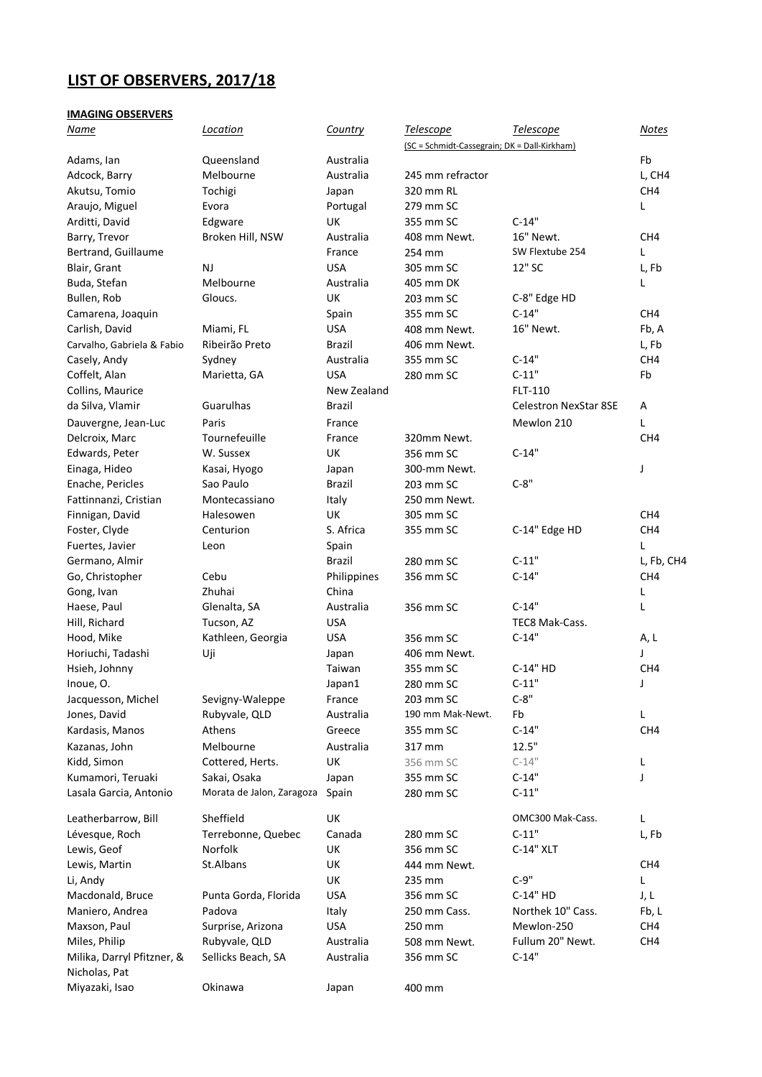# **LIST OF OBSERVERS, 2017/18**

## **IMAGING OBSERVERS**

| <u>Name</u>                     | Location                  | Country       | <b>Telescope</b>                             | <b>Telescope</b>             | <b>Notes</b>    |
|---------------------------------|---------------------------|---------------|----------------------------------------------|------------------------------|-----------------|
|                                 |                           |               | (SC = Schmidt-Cassegrain; DK = Dall-Kirkham) |                              |                 |
| Adams, Ian                      | Queensland                | Australia     |                                              |                              | Fb              |
| Adcock, Barry                   | Melbourne                 | Australia     | 245 mm refractor                             |                              | L, CH4          |
| Akutsu, Tomio                   | Tochigi                   | Japan         | 320 mm RL                                    |                              | CH4             |
| Araujo, Miguel                  | Evora                     | Portugal      | 279 mm SC                                    |                              | L               |
| Arditti, David                  | Edgware                   | UK            | 355 mm SC                                    | $C-14"$                      |                 |
| Barry, Trevor                   | Broken Hill, NSW          | Australia     | 408 mm Newt.                                 | 16" Newt.                    | CH4             |
| Bertrand, Guillaume             |                           | France        | 254 mm                                       | SW Flextube 254              | L               |
| Blair, Grant                    | <b>NJ</b>                 | <b>USA</b>    | 305 mm SC                                    | 12" SC                       | L, Fb           |
| Buda, Stefan                    | Melbourne                 | Australia     | 405 mm DK                                    |                              | L               |
| Bullen, Rob                     | Gloucs.                   | UK            | 203 mm SC                                    | C-8" Edge HD                 |                 |
| Camarena, Joaquin               |                           | Spain         | 355 mm SC                                    | $C-14"$                      | CH <sub>4</sub> |
| Carlish, David                  | Miami, FL                 | <b>USA</b>    | 408 mm Newt.                                 | 16" Newt.                    | Fb, A           |
| Carvalho, Gabriela & Fabio      | Ribeirão Preto            | Brazil        | 406 mm Newt.                                 |                              | L, Fb           |
| Casely, Andy                    | Sydney                    | Australia     | 355 mm SC                                    | $C-14"$                      | CH4             |
| Coffelt, Alan                   | Marietta, GA              | <b>USA</b>    | 280 mm SC                                    | $C-11"$                      | Fb              |
| Collins, Maurice                |                           | New Zealand   |                                              | FLT-110                      |                 |
| da Silva, Vlamir                | Guarulhas                 | Brazil        |                                              | <b>Celestron NexStar 8SE</b> | Α               |
| Dauvergne, Jean-Luc             | Paris                     | France        |                                              | Mewlon 210                   | L               |
| Delcroix, Marc                  | Tournefeuille             | France        | 320mm Newt.                                  |                              | CH <sub>4</sub> |
| Edwards, Peter                  | W. Sussex                 | UK            | 356 mm SC                                    | $C-14"$                      |                 |
| Einaga, Hideo                   | Kasai, Hyogo              | Japan         | 300-mm Newt.                                 |                              | J               |
| Enache, Pericles                | Sao Paulo                 | Brazil        | 203 mm SC                                    | $C-8"$                       |                 |
| Fattinnanzi, Cristian           | Montecassiano             | Italy         | 250 mm Newt.                                 |                              |                 |
| Finnigan, David                 | Halesowen                 | UK            | 305 mm SC                                    |                              | CH <sub>4</sub> |
| Foster, Clyde                   | Centurion                 | S. Africa     | 355 mm SC                                    | C-14" Edge HD                | CH <sub>4</sub> |
| Fuertes, Javier                 | Leon                      | Spain         |                                              |                              | L               |
| Germano, Almir                  |                           | <b>Brazil</b> | 280 mm SC                                    | $C-11"$                      | L, Fb, CH4      |
| Go, Christopher                 | Cebu                      | Philippines   | 356 mm SC                                    | $C-14"$                      | CH4             |
| Gong, Ivan                      | Zhuhai                    | China         |                                              |                              | L               |
| Haese, Paul                     | Glenalta, SA              | Australia     | 356 mm SC                                    | $C-14"$                      | L               |
| Hill, Richard                   | Tucson, AZ                | <b>USA</b>    |                                              | TEC8 Mak-Cass.               |                 |
| Hood, Mike                      | Kathleen, Georgia         | <b>USA</b>    | 356 mm SC                                    | $C-14"$                      | A, L            |
| Horiuchi, Tadashi               | Uji                       | Japan         | 406 mm Newt.                                 |                              | J               |
| Hsieh, Johnny                   |                           | Taiwan        | 355 mm SC                                    | C-14" HD                     | CH4             |
| Inoue, O.                       |                           | Japan1        | 280 mm SC                                    | $C-11"$                      | J               |
| Jacquesson, Michel              | Sevigny-Waleppe           | France        | 203 mm SC                                    | $C-8"$                       |                 |
| Jones, David                    | Rubyvale, QLD             | Australia     | 190 mm Mak-Newt.                             | Fb                           | Г               |
| Kardasis, Manos                 | Athens                    | Greece        | 355 mm SC                                    | $C-14"$                      | CH4             |
| Kazanas, John                   | Melbourne                 | Australia     | 317 mm                                       | 12.5"                        |                 |
| Kidd, Simon                     | Cottered, Herts.          | UK            | 356 mm SC                                    | $C-14"$                      | L               |
| Kumamori, Teruaki               | Sakai, Osaka              | Japan         | 355 mm SC                                    | $C-14"$                      | J               |
| Lasala Garcia, Antonio          | Morata de Jalon, Zaragoza | Spain         | 280 mm SC                                    | $C-11"$                      |                 |
| Leatherbarrow, Bill             | Sheffield                 | UK            |                                              | OMC300 Mak-Cass.             | L               |
| Lévesque, Roch                  | Terrebonne, Quebec        | Canada        | 280 mm SC                                    | $C-11"$                      | L, Fb           |
| Lewis, Geof                     | Norfolk                   | UK            | 356 mm SC                                    | C-14" XLT                    |                 |
| Lewis, Martin                   | St.Albans                 | UK            | 444 mm Newt.                                 |                              | CH <sub>4</sub> |
| Li, Andy                        |                           | UK            | 235 mm                                       | $C-9"$                       | Г               |
| Macdonald, Bruce                | Punta Gorda, Florida      | <b>USA</b>    | 356 mm SC                                    | C-14" HD                     | J, L            |
| Maniero, Andrea                 | Padova                    | Italy         | 250 mm Cass.                                 | Northek 10" Cass.            | Fb, L           |
| Maxson, Paul                    | Surprise, Arizona         | <b>USA</b>    | 250 mm                                       | Mewlon-250                   | CH <sub>4</sub> |
| Miles, Philip                   | Rubyvale, QLD             | Australia     | 508 mm Newt.                                 | Fullum 20" Newt.             | CH4             |
| Milika, Darryl Pfitzner, &      | Sellicks Beach, SA        | Australia     | 356 mm SC                                    | $C-14"$                      |                 |
| Nicholas, Pat<br>Miyazaki, Isao | Okinawa                   | Japan         | 400 mm                                       |                              |                 |
|                                 |                           |               |                                              |                              |                 |